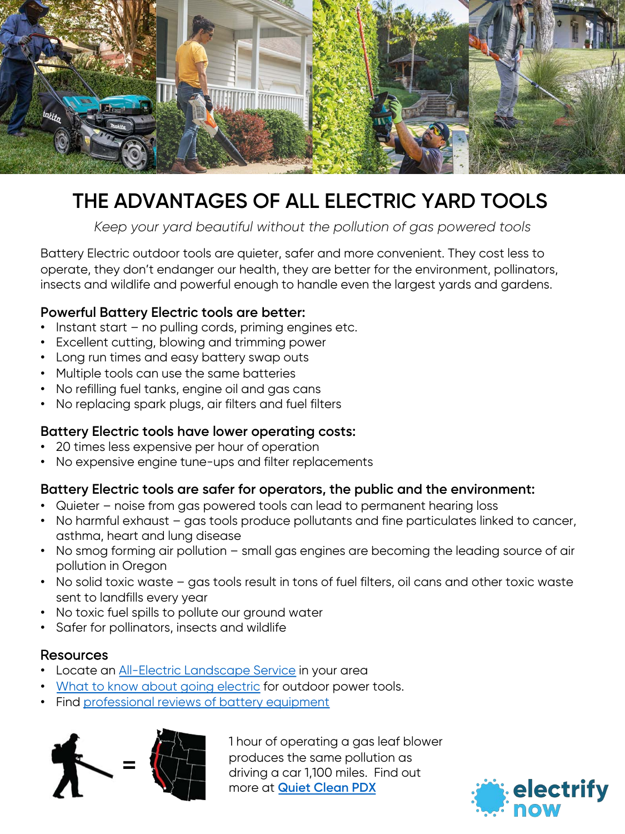

# **THE ADVANTAGES OF ALL ELECTRIC YARD TOOLS**

*Keep your yard beautiful without the pollution of gas powered tools*

Battery Electric outdoor tools are quieter, safer and more convenient. They cost less to operate, they don't endanger our health, they are better for the environment, pollinators, insects and wildlife and powerful enough to handle even the largest yards and gardens.

### **Powerful Battery Electric tools are better:**

- Instant start no pulling cords, priming engines etc.
- Excellent cutting, blowing and trimming power
- Long run times and easy battery swap outs
- Multiple tools can use the same batteries
- No refilling fuel tanks, engine oil and gas cans
- No replacing spark plugs, air filters and fuel filters

### **Battery Electric tools have lower operating costs:**

- 20 times less expensive per hour of operation
- No expensive engine tune-ups and filter replacements

### **Battery Electric tools are safer for operators, the public and the environment:**

- Quieter noise from gas powered tools can lead to permanent hearing loss
- No harmful exhaust gas tools produce pollutants and fine particulates linked to cancer, asthma, heart and lung disease
- No smog forming air pollution small gas engines are becoming the leading source of air pollution in Oregon
- No solid toxic waste gas tools result in tons of fuel filters, oil cans and other toxic waste sent to landfills every year
- No toxic fuel spills to pollute our ground water
- Safer for pollinators, insects and wildlife

### Resources

- Locate an <u>[All-Electric Landscape Service](https://www.quietcleanpdx.org/portland-quiet-safe-yard-care/)</u> in your area
- [What to know about going electric](https://www.familyhandyman.com/list/things-you-should-know-before-buying-a-battery-powered-yard-tool/) for outdoor power tools.
- Find [professional reviews of battery equipment](https://www.protoolreviews.com/category/tools/outdoor-equipment/)



1 hour of operating a gas leaf blower produces the same pollution as driving a car 1,100 miles. Find out more at **[Quiet Clean PDX](https://www.quietcleanpdx.org/)**